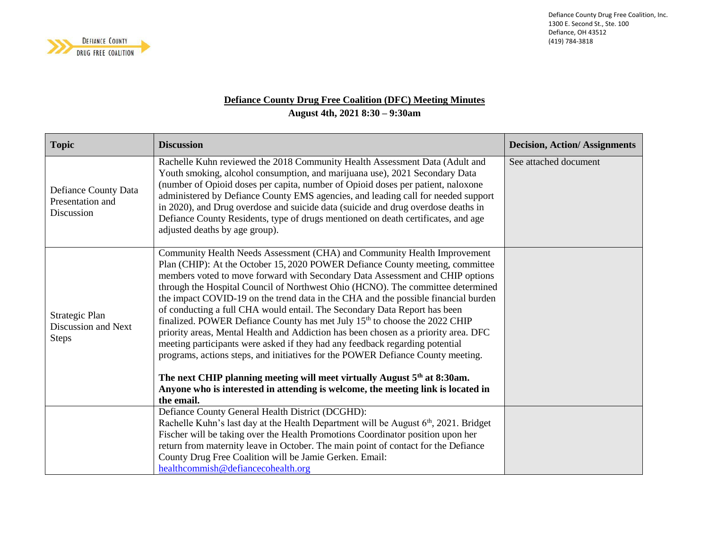

Defiance County Drug Free Coalition, Inc. 1300 E. Second St., Ste. 100 Defiance, OH 43512 (419) 784-3818

## **Defiance County Drug Free Coalition (DFC) Meeting Minutes August 4th, 2021 8:30 – 9:30am**

| <b>Topic</b>                                           | <b>Discussion</b>                                                                                                                                                                                                                                                                                                                                                                                                                                                                                                                                                                                                                                                                                                                                                                                                                                                                                                                                                                                                                              | <b>Decision, Action/Assignments</b> |
|--------------------------------------------------------|------------------------------------------------------------------------------------------------------------------------------------------------------------------------------------------------------------------------------------------------------------------------------------------------------------------------------------------------------------------------------------------------------------------------------------------------------------------------------------------------------------------------------------------------------------------------------------------------------------------------------------------------------------------------------------------------------------------------------------------------------------------------------------------------------------------------------------------------------------------------------------------------------------------------------------------------------------------------------------------------------------------------------------------------|-------------------------------------|
| Defiance County Data<br>Presentation and<br>Discussion | Rachelle Kuhn reviewed the 2018 Community Health Assessment Data (Adult and<br>Youth smoking, alcohol consumption, and marijuana use), 2021 Secondary Data<br>(number of Opioid doses per capita, number of Opioid doses per patient, naloxone<br>administered by Defiance County EMS agencies, and leading call for needed support<br>in 2020), and Drug overdose and suicide data (suicide and drug overdose deaths in<br>Defiance County Residents, type of drugs mentioned on death certificates, and age<br>adjusted deaths by age group).                                                                                                                                                                                                                                                                                                                                                                                                                                                                                                | See attached document               |
| Strategic Plan<br>Discussion and Next<br><b>Steps</b>  | Community Health Needs Assessment (CHA) and Community Health Improvement<br>Plan (CHIP): At the October 15, 2020 POWER Defiance County meeting, committee<br>members voted to move forward with Secondary Data Assessment and CHIP options<br>through the Hospital Council of Northwest Ohio (HCNO). The committee determined<br>the impact COVID-19 on the trend data in the CHA and the possible financial burden<br>of conducting a full CHA would entail. The Secondary Data Report has been<br>finalized. POWER Defiance County has met July 15 <sup>th</sup> to choose the 2022 CHIP<br>priority areas, Mental Health and Addiction has been chosen as a priority area. DFC<br>meeting participants were asked if they had any feedback regarding potential<br>programs, actions steps, and initiatives for the POWER Defiance County meeting.<br>The next CHIP planning meeting will meet virtually August 5 <sup>th</sup> at 8:30am.<br>Anyone who is interested in attending is welcome, the meeting link is located in<br>the email. |                                     |
|                                                        | Defiance County General Health District (DCGHD):                                                                                                                                                                                                                                                                                                                                                                                                                                                                                                                                                                                                                                                                                                                                                                                                                                                                                                                                                                                               |                                     |
|                                                        | Rachelle Kuhn's last day at the Health Department will be August 6th, 2021. Bridget                                                                                                                                                                                                                                                                                                                                                                                                                                                                                                                                                                                                                                                                                                                                                                                                                                                                                                                                                            |                                     |
|                                                        | Fischer will be taking over the Health Promotions Coordinator position upon her<br>return from maternity leave in October. The main point of contact for the Defiance                                                                                                                                                                                                                                                                                                                                                                                                                                                                                                                                                                                                                                                                                                                                                                                                                                                                          |                                     |
|                                                        | County Drug Free Coalition will be Jamie Gerken. Email:                                                                                                                                                                                                                                                                                                                                                                                                                                                                                                                                                                                                                                                                                                                                                                                                                                                                                                                                                                                        |                                     |
|                                                        | healthcommish@defiancecohealth.org                                                                                                                                                                                                                                                                                                                                                                                                                                                                                                                                                                                                                                                                                                                                                                                                                                                                                                                                                                                                             |                                     |